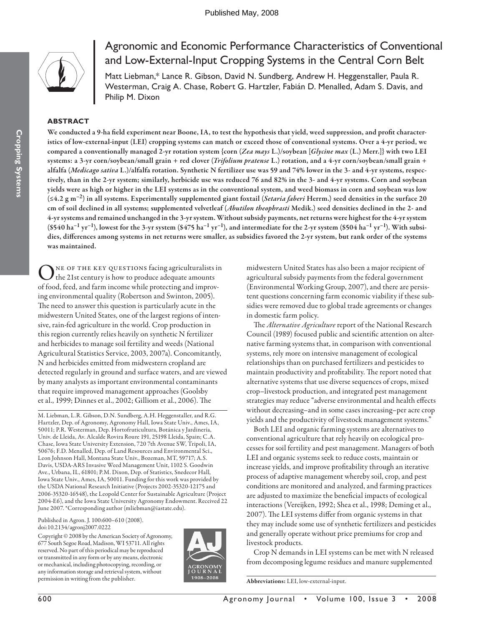

# Agronomic and Economic Performance Characteristics of Conventional and Low-External-Input Cropping Systems in the Central Corn Belt

Matt Liebman,\* Lance R. Gibson, David N. Sundberg, Andrew H. Heggenstaller, Paula R. Westerman, Craig A. Chase, Robert G. Hartzler, Fabián D. Menalled, Adam S. Davis, and Philip M. Dixon

# **ABSTRACT**

We conducted a 9-ha field experiment near Boone, IA, to test the hypothesis that yield, weed suppression, and profit character**istics of low-external-input (LEI) cropping systems can match or exceed those of conventional systems. Over a 4-yr period, we compared a conventionally managed 2-yr rotation system {corn (***Zea mays* **L.)/soybean [***Glycine max* **(L.) Merr.]} with two LEI systems: a 3-yr corn/soybean/small grain + red clover (***Trifolium pratense* **L.) rotation, and a 4-yr corn/soybean/small grain + alfalfa (***Medicago sativa* **L.)/alfalfa rotation. Synthetic N fertilizer use was 59 and 74% lower in the 3- and 4-yr systems, respectively, than in the 2-yr system; similarly, herbicide use was reduced 76 and 82% in the 3- and 4-yr systems. Corn and soybean yields were as high or higher in the LEI systems as in the conventional system, and weed biomass in corn and soybean was low (≤4.2 g m–2) in all systems. Experimentally supplemented giant foxtail (***Setaria faberi* **Herrm.) seed densities in the surface 20 cm of soil declined in all systems; supplemented velvetleaf (***Abutilon theophrasti* **Medik.) seed densities declined in the 2- and 4-yr systems and remained unchanged in the 3-yr system. Without subsidy payments, net returns were highest for the 4-yr system**   $(\$540 \text{ ha}^{-1} \text{ yr}^{-1})$ , lowest for the 3-yr system  $(\$475 \text{ ha}^{-1} \text{ yr}^{-1})$ , and intermediate for the 2-yr system  $(\$504 \text{ ha}^{-1} \text{ yr}^{-1})$ . With subsidies, differences among systems in net returns were smaller, as subsidies favored the 2-yr system, but rank order of the systems **was maintained.**

ONE OF THE KEY QUESTIONS facing agriculturalists in<br>the 21st century is how to produce adequate amounts of food, feed, and farm income while protecting and improving environmental quality (Robertson and Swinton, 2005). The need to answer this question is particularly acute in the midwestern United States, one of the largest regions of intensive, rain-fed agriculture in the world. Crop production in this region currently relies heavily on synthetic N fertilizer and herbicides to manage soil fertility and weeds (National Agricultural Statistics Service, 2003, 2007a). Concomitantly, N and herbicides emitted from midwestern cropland are detected regularly in ground and surface waters, and are viewed by many analysts as important environmental contaminants that require improved management approaches (Goolsby et al., 1999; Dinnes et al., 2002; Gilliom et al., 2006). The

M. Liebman, L.R. Gibson, D.N. Sundberg, A.H. Heggenstaller, and R.G. Hartzler, Dep. of Agronomy, Agronomy Hall, Iowa State Univ., Ames, IA, 50011; P.R. Westerman, Dep. Hortofruticultura, Botánica y Jardinería, Univ. de Lleida, Av. Alcalde Rovira Roure 191, 25198 Lleida, Spain; C.A. Chase, Iowa State University Extension, 720 7th Avenue SW, Tripoli, IA, 50676; F.D. Menalled, Dep. of Land Resources and Environmental Sci., Leon Johnson Hall, Montana State Univ., Bozeman, MT, 59717; A.S. Davis, USDA-ARS Invasive Weed Management Unit, 1102 S. Goodwin Ave., Urbana, IL, 61801; P.M. Dixon, Dep. of Statistics, Snedecor Hall, Iowa State Univ., Ames, IA, 50011. Funding for this work was provided by the USDA National Research Initiative (Projects 2002-35320-12175 and 2006-35320-16548), the Leopold Center for Sustainable Agriculture (Project 2004-E6), and the Iowa State University Agronomy Endowment. Received 22 June 2007. \*Corresponding author (mliebman@iastate.edu).

Published in Agron. J. 100:600–610 (2008). doi:10.2134/agronj2007.0222

Copyright © 2008 by the American Society of Agronomy, 677 South Segoe Road, Madison, WI 53711. All rights reserved. No part of this periodical may be reproduced or transmitted in any form or by any means, electronic or mechanical, including photocopying, recording, or any information storage and retrieval system, without permission in writing from the publisher.



midwestern United States has also been a major recipient of agricultural subsidy payments from the federal government (Environmental Working Group, 2007), and there are persistent questions concerning farm economic viability if these subsidies were removed due to global trade agreements or changes in domestic farm policy.

The *Alternative Agriculture* report of the National Research Council (1989) focused public and scientific attention on alternative farming systems that, in comparison with conventional systems, rely more on intensive management of ecological relationships than on purchased fertilizers and pesticides to maintain productivity and profitability. The report noted that alternative systems that use diverse sequences of crops, mixed crop–livestock production, and integrated pest management strategies may reduce "adverse environmental and health effects without decreasing–and in some cases increasing–per acre crop yields and the productivity of livestock management systems."

Both LEI and organic farming systems are alternatives to conventional agriculture that rely heavily on ecological processes for soil fertility and pest management. Managers of both LEI and organic systems seek to reduce costs, maintain or increase yields, and improve profitability through an iterative process of adaptive management whereby soil, crop, and pest conditions are monitored and analyzed, and farming practices are adjusted to maximize the beneficial impacts of ecological interactions (Vereijken, 1992; Shea et al., 1998; Deming et al., 2007). The LEI systems differ from organic systems in that they may include some use of synthetic fertilizers and pesticides and generally operate without price premiums for crop and livestock products.

Crop N demands in LEI systems can be met with N released from decomposing legume residues and manure supplemented

**Abbreviations:** LEI, low-external-input.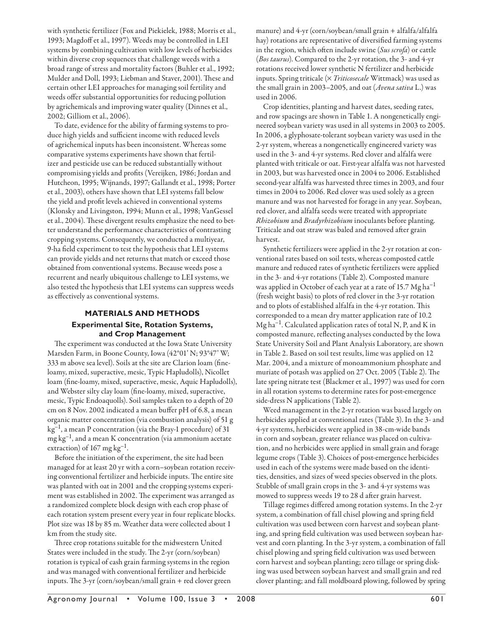with synthetic fertilizer (Fox and Piekielek, 1988; Morris et al., 1993; Magdoff et al., 1997). Weeds may be controlled in LEI systems by combining cultivation with low levels of herbicides within diverse crop sequences that challenge weeds with a broad range of stress and mortality factors (Buhler et al., 1992; Mulder and Doll, 1993; Liebman and Staver, 2001). These and certain other LEI approaches for managing soil fertility and weeds offer substantial opportunities for reducing pollution by agrichemicals and improving water quality (Dinnes et al., 2002; Gilliom et al., 2006).

To date, evidence for the ability of farming systems to produce high yields and sufficient income with reduced levels of agrichemical inputs has been inconsistent. Whereas some comparative systems experiments have shown that fertilizer and pesticide use can be reduced substantially without compromising yields and profits (Vereijken, 1986; Jordan and Hutcheon, 1995; Wijnands, 1997; Gallandt et al., 1998; Porter et al., 2003), others have shown that LEI systems fall below the yield and profit levels achieved in conventional systems (Klonsky and Livingston, 1994; Munn et al., 1998; VanGessel et al., 2004). These divergent results emphasize the need to better understand the performance characteristics of contrasting cropping systems. Consequently, we conducted a multiyear, 9-ha field experiment to test the hypothesis that LEI systems can provide yields and net returns that match or exceed those obtained from conventional systems. Because weeds pose a recurrent and nearly ubiquitous challenge to LEI systems, we also tested the hypothesis that LEI systems can suppress weeds as effectively as conventional systems.

# **MATERIALS AND METHODS Experimental Site, Rotation Systems, and Crop Management**

The experiment was conducted at the Iowa State University Marsden Farm, in Boone County, Iowa (42°01' N; 93°47' W; 333 m above sea level). Soils at the site are Clarion loam (fineloamy, mixed, superactive, mesic, Typic Hapludolls), Nicollet loam (fine-loamy, mixed, superactive, mesic, Aquic Hapludolls), and Webster silty clay loam (fine-loamy, mixed, superactive, mesic, Typic Endoaquolls). Soil samples taken to a depth of 20 cm on 8 Nov. 2002 indicated a mean buffer pH of  $6.8$ , a mean organic matter concentration (via combustion analysis) of 51 g  $kg^{-1}$ , a mean P concentration (via the Bray-1 procedure) of 31  $mg \, kg^{-1}$ , and a mean K concentration (via ammonium acetate extraction) of  $167 \text{ mg kg}^{-1}$ .

Before the initiation of the experiment, the site had been managed for at least 20 yr with a corn–soybean rotation receiving conventional fertilizer and herbicide inputs. The entire site was planted with oat in 2001 and the cropping systems experiment was established in 2002. The experiment was arranged as a randomized complete block design with each crop phase of each rotation system present every year in four replicate blocks. Plot size was 18 by 85 m. Weather data were collected about 1 km from the study site.

Three crop rotations suitable for the midwestern United States were included in the study. The 2-yr (corn/soybean) rotation is typical of cash grain farming systems in the region and was managed with conventional fertilizer and herbicide inputs. The  $3$ -yr (corn/soybean/small grain  $+$  red clover green manure) and 4-yr (corn/soybean/small grain + alfalfa/alfalfa hay) rotations are representative of diversified farming systems in the region, which often include swine (*Sus scrofa*) or cattle (*Bos taurus*). Compared to the 2-yr rotation, the 3- and 4-yr rotations received lower synthetic N fertilizer and herbicide inputs. Spring triticale (× *Triticosecale* Wittmack) was used as the small grain in 2003–2005, and oat (*Avena sativa* L.) was used in 2006.

Crop identities, planting and harvest dates, seeding rates, and row spacings are shown in Table 1. A nongenetically engineered soybean variety was used in all systems in 2003 to 2005. In 2006, a glyphosate-tolerant soybean variety was used in the 2-yr system, whereas a nongenetically engineered variety was used in the 3- and 4-yr systems. Red clover and alfalfa were planted with triticale or oat. First-year alfalfa was not harvested in 2003, but was harvested once in 2004 to 2006. Established second-year alfalfa was harvested three times in 2003, and four times in 2004 to 2006. Red clover was used solely as a green manure and was not harvested for forage in any year. Soybean, red clover, and alfalfa seeds were treated with appropriate *Rhizobium* and *Bradyrhizobium* inoculants before planting. Triticale and oat straw was baled and removed after grain harvest.

Synthetic fertilizers were applied in the 2-yr rotation at conventional rates based on soil tests, whereas composted cattle manure and reduced rates of synthetic fertilizers were applied in the 3- and 4-yr rotations (Table 2). Composted manure was applied in October of each year at a rate of 15.7  $Mg$  ha<sup>-1</sup> (fresh weight basis) to plots of red clover in the 3-yr rotation and to plots of established alfalfa in the 4-yr rotation. This corresponded to a mean dry matter application rate of 10.2  $Mg$  ha<sup>-1</sup>. Calculated application rates of total N, P, and K in composted manure, reflecting analyses conducted by the Iowa State University Soil and Plant Analysis Laboratory, are shown in Table 2. Based on soil test results, lime was applied on 12 Mar. 2004, and a mixture of monoammonium phosphate and muriate of potash was applied on 27 Oct. 2005 (Table 2). The late spring nitrate test (Blackmer et al., 1997) was used for corn in all rotation systems to determine rates for post-emergence side-dress N applications (Table 2).

Weed management in the 2-yr rotation was based largely on herbicides applied at conventional rates (Table 3). In the 3- and 4-yr systems, herbicides were applied in 38-cm-wide bands in corn and soybean, greater reliance was placed on cultivation, and no herbicides were applied in small grain and forage legume crops (Table 3). Choices of post-emergence herbicides used in each of the systems were made based on the identities, densities, and sizes of weed species observed in the plots. Stubble of small grain crops in the 3- and 4-yr systems was mowed to suppress weeds 19 to 28 d after grain harvest.

Tillage regimes differed among rotation systems. In the 2-yr system, a combination of fall chisel plowing and spring field cultivation was used between corn harvest and soybean planting, and spring field cultivation was used between soybean harvest and corn planting. In the 3-yr system, a combination of fall chisel plowing and spring field cultivation was used between corn harvest and soybean planting; zero tillage or spring disking was used between soybean harvest and small grain and red clover planting; and fall moldboard plowing, followed by spring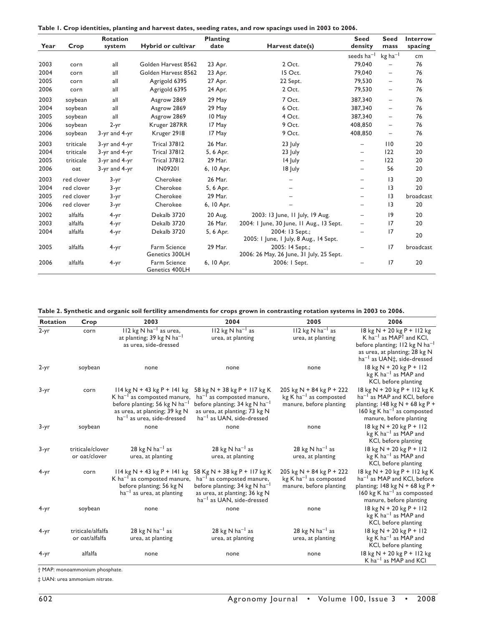| Table 1. Crop identities, planting and harvest dates, seeding rates, and row spacings used in 2003 to 2006. |  |  |
|-------------------------------------------------------------------------------------------------------------|--|--|
|                                                                                                             |  |  |

| Year | Crop       | <b>Rotation</b><br>system | Hybrid or cultivar             | <b>Planting</b><br>date | Harvest date(s)                                             | <b>Seed</b><br>density   | <b>Seed</b><br>mass      | Interrow<br>spacing |
|------|------------|---------------------------|--------------------------------|-------------------------|-------------------------------------------------------------|--------------------------|--------------------------|---------------------|
|      |            |                           |                                |                         |                                                             | seeds ha <sup>-1</sup>   | $kg$ ha <sup>-1</sup>    | cm                  |
| 2003 | corn       | all                       | Golden Harvest 8562            | 23 Apr.                 | 2 Oct.                                                      | 79,040                   | $\qquad \qquad -$        | 76                  |
| 2004 | corn       | all                       | Golden Harvest 8562            | 23 Apr.                 | 15 Oct.                                                     | 79,040                   | $\overline{\phantom{m}}$ | 76                  |
| 2005 | corn       | all                       | Agrigold 6395                  | 27 Apr.                 | 22 Sept.                                                    | 79.530                   | $\qquad \qquad -$        | 76                  |
| 2006 | corn       | all                       | Agrigold 6395                  | 24 Apr.                 | 2 Oct.                                                      | 79,530                   | $\qquad \qquad -$        | 76                  |
| 2003 | soybean    | all                       | Asgrow 2869                    | 29 May                  | 7 Oct.                                                      | 387,340                  | $\qquad \qquad -$        | 76                  |
| 2004 | soybean    | all                       | Asgrow 2869                    | 29 May                  | 6 Oct.                                                      | 387,340                  | $\overline{\phantom{0}}$ | 76                  |
| 2005 | soybean    | all                       | Asgrow 2869                    | 10 May                  | 4 Oct.                                                      | 387,340                  | $\overline{\phantom{0}}$ | 76                  |
| 2006 | soybean    | $2-yr$                    | Kruger 287RR                   | 17 May                  | 9 Oct.                                                      | 408,850                  | Ξ.                       | 76                  |
| 2006 | soybean    | 3-yr and 4-yr             | Kruger 2918                    | 17 May                  | 9 Oct.                                                      | 408,850                  | $\overline{\phantom{0}}$ | 76                  |
| 2003 | triticale  | 3-yr and 4-yr             | <b>Trical 37812</b>            | 26 Mar.                 | $23$ July                                                   | $\overline{\phantom{0}}$ | 110                      | 20                  |
| 2004 | triticale  | 3-yr and 4-yr             | <b>Trical 37812</b>            | 5, 6 Apr.               | $23$ July                                                   | $-$                      | 122                      | 20                  |
| 2005 | triticale  | 3-yr and 4-yr             | <b>Trical 37812</b>            | 29 Mar.                 | $14$ July                                                   | -                        | 122                      | 20                  |
| 2006 | oat        | 3-yr and 4-yr             | <b>IN09201</b>                 | 6, 10 Apr.              | 18 July                                                     |                          | 56                       | 20                  |
| 2003 | red clover | 3-yr                      | Cherokee                       | 26 Mar.                 | $\overline{\phantom{0}}$                                    |                          | 3                        | 20                  |
| 2004 | red clover | 3-yr                      | Cherokee                       | 5, 6 Apr.               |                                                             |                          | 13                       | 20                  |
| 2005 | red clover | 3-yr                      | Cherokee                       | 29 Mar.                 |                                                             |                          | 13                       | broadcast           |
| 2006 | red clover | 3-yr                      | Cherokee                       | 6, 10 Apr.              |                                                             |                          | 3                        | 20                  |
| 2002 | alfalfa    | $4 - yr$                  | Dekalb 3720                    | 20 Aug.                 | 2003: 13 June, 11 July, 19 Aug.                             |                          | 9                        | 20                  |
| 2003 | alfalfa    | $4 - yr$                  | Dekalb 3720                    | 26 Mar.                 | 2004: I June, 30 June, II Aug., I3 Sept.                    |                          | 17                       | 20                  |
| 2004 | alfalfa    | $4 - yr$                  | Dekalb 3720                    | 5, 6 Apr.               | 2004: 13 Sept.;<br>2005: I June, I July, 8 Aug., 14 Sept.   |                          | 17                       | 20                  |
| 2005 | alfalfa    | $4 - yr$                  | Farm Science<br>Genetics 300LH | 29 Mar.                 | 2005: 14 Sept.;<br>2006: 26 May, 26 June, 31 July, 25 Sept. |                          | 17                       | broadcast           |
| 2006 | alfalfa    | $4 - yr$                  | Farm Science<br>Genetics 400LH | 6, 10 Apr.              | 2006: I Sept.                                               |                          | 17                       | 20                  |

**Table 2. Synthetic and organic soil fertility amendments for crops grown in contrasting rotation systems in 2003 to 2006.**

| <b>Rotation</b> | Crop                                | 2003                                                                                                                                                                                             | 2004                                                                                                                                                                                         | 2005                                                                                          | 2006                                                                                                                                                                                                       |
|-----------------|-------------------------------------|--------------------------------------------------------------------------------------------------------------------------------------------------------------------------------------------------|----------------------------------------------------------------------------------------------------------------------------------------------------------------------------------------------|-----------------------------------------------------------------------------------------------|------------------------------------------------------------------------------------------------------------------------------------------------------------------------------------------------------------|
| $2-yr$          | corn                                | $112$ kg N ha <sup>-1</sup> as urea,<br>at planting; 39 kg N ha <sup>-1</sup><br>as urea, side-dressed                                                                                           | $112$ kg N ha <sup>-1</sup> as<br>urea, at planting                                                                                                                                          | 112 kg N ha <sup>-1</sup> as<br>urea, at planting                                             | 18 kg N + 20 kg P + 112 kg<br>K ha <sup>-1</sup> as MAP <sup>†</sup> and KCI,<br>before planting; 112 kg N ha <sup>-1</sup><br>as urea, at planting; 28 kg N<br>$ha^{-1}$ as UAN $\ddagger$ , side-dressed |
| 2-yr            | soybean                             | none                                                                                                                                                                                             | none                                                                                                                                                                                         | none                                                                                          | $18$ kg N + 20 kg P + 112<br>$kg$ K ha <sup>-1</sup> as MAP and<br>KCI, before planting                                                                                                                    |
| 3-yr            | corn                                | $114$ kg N + 43 kg P + 141 kg<br>K ha <sup>-1</sup> as composted manure,<br>before planting; 56 kg N ha <sup>-1</sup><br>as urea, at planting; 39 kg N<br>ha <sup>-1</sup> as urea, side-dressed | 58 kg N + 38 kg P + 117 kg K<br>$ha^{-1}$ as composted manure,<br>before planting; 34 kg N ha <sup>-1</sup><br>as urea, at planting; 73 kg N<br>ha <sup>-1</sup> as UAN, side-dressed        | $205$ kg N + 84 kg P + 222<br>$kg$ K ha <sup>-1</sup> as composted<br>manure, before planting | 18 kg N + 20 kg P + 112 kg K<br>ha <sup>-1</sup> as MAP and KCI, before<br>planting; $148$ kg N + 68 kg P +<br>160 kg K ha <sup>-1</sup> as composted<br>manure, before planting                           |
| 3-yr            | soybean                             | none                                                                                                                                                                                             | none                                                                                                                                                                                         | none                                                                                          | $18$ kg N + 20 kg P + 112<br>$kg$ K ha <sup>-1</sup> as MAP and<br>KCI, before planting                                                                                                                    |
| 3-yr            | triticale/clover<br>or oat/clover   | 28 kg N $ha^{-1}$ as<br>urea, at planting                                                                                                                                                        | 28 kg N $ha^{-1}$ as<br>urea, at planting                                                                                                                                                    | $28$ kg N ha <sup>-1</sup> as<br>urea, at planting                                            | 18 kg N + 20 kg P + 112<br>kg K ha <sup>-1</sup> as MAP and<br>KCI, before planting                                                                                                                        |
| 4-yr            | corn                                | $114 \text{ kg} \text{N} + 43 \text{ kg} \text{P} + 141 \text{ kg}$<br>$K$ ha <sup>-1</sup> as composted manure,<br>before planting; 56 kg N<br>$ha^{-1}$ as urea, at planting                   | 58 Kg N + 38 kg P + 117 kg K<br>ha <sup>-1</sup> as composted manure,<br>before planting; 34 kg N ha <sup>-1</sup><br>as urea, at planting; 36 kg N<br>ha <sup>-1</sup> as UAN, side-dressed | 205 kg N + 84 kg P + 222<br>$kg$ K ha <sup>-1</sup> as composted<br>manure, before planting   | 18 kg N + 20 kg P + 112 kg K<br>ha <sup>-1</sup> as MAP and KCI, before<br>planting; $148$ kg N + 68 kg P +<br>160 kg K ha <sup>-1</sup> as composted<br>manure, before planting                           |
| 4-yr            | soybean                             | none                                                                                                                                                                                             | none                                                                                                                                                                                         | none                                                                                          | 18 kg N + 20 kg P + 112<br>$kg K ha^{-1}$ as MAP and<br>KCI, before planting                                                                                                                               |
| 4-yr            | triticale/alfalfa<br>or oat/alfalfa | 28 $kg$ N ha <sup>-1</sup> as<br>urea, at planting                                                                                                                                               | 28 kg N $ha^{-1}$ as<br>urea, at planting                                                                                                                                                    | 28 kg N $ha^{-1}$ as<br>urea, at planting                                                     | 18 kg N + 20 kg P + 112<br>kg K ha <sup>-1</sup> as MAP and<br>KCI, before planting                                                                                                                        |
| 4-yr            | alfalfa                             | none                                                                                                                                                                                             | none                                                                                                                                                                                         | none                                                                                          | 18 kg N + 20 kg P + 112 kg<br>K ha <sup>-1</sup> as MAP and KCI                                                                                                                                            |

† MAP: monoammonium phosphate.

‡ UAN: urea ammonium nitrate.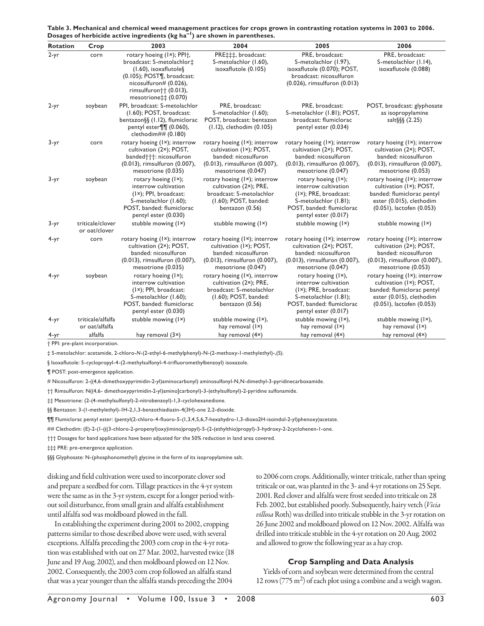| Table 3. Mechanical and chemical weed management practices for crops grown in contrasting rotation systems in 2003 to 2006. |
|-----------------------------------------------------------------------------------------------------------------------------|
| Dosages of herbicide active ingredients ( $kg$ ha <sup>-1</sup> ) are shown in parentheses.                                 |

| <b>Rotation</b> | Crop                                | 2003                                                                                                                                                                                                                  | 2004                                                                                                                                            | 2005                                                                                                                                                                 | 2006                                                                                                                                            |
|-----------------|-------------------------------------|-----------------------------------------------------------------------------------------------------------------------------------------------------------------------------------------------------------------------|-------------------------------------------------------------------------------------------------------------------------------------------------|----------------------------------------------------------------------------------------------------------------------------------------------------------------------|-------------------------------------------------------------------------------------------------------------------------------------------------|
| $2-yr$          | corn                                | rotary hoeing (Ix); PPI <sup>+</sup> ,<br>broadcast: S-metolachlor‡<br>$(1.60)$ , isoxaflutole $\S$<br>$(0.105)$ ; POST $\P$ , broadcast:<br>nicosulfuron# (0.026),<br>rimsulfuron†† (0.013),<br>mesotrione‡‡ (0.070) | PRE‡‡‡, broadcast:<br>S-metolachlor (1.60),<br>isoxaflutole (0.105)                                                                             | PRE, broadcast:<br>S-metolachlor (1.97),<br>isoxaflutole (0.070); POST,<br>broadcast: nicosulfuron<br>(0.026), rimsulfuron (0.013)                                   | PRE, broadcast:<br>S-metolachlor (1.14),<br>isoxaflutole (0.088)                                                                                |
| $2-yr$          | soybean                             | PPI, broadcast: S-metolachlor<br>(1.60); POST, broadcast:<br>bentazon§§ (1.12), flumiclorac<br>pentyl ester¶¶ (0.060),<br>clethodim## $(0.180)$                                                                       | PRE, broadcast:<br>S-metolachlor (1.60);<br>POST, broadcast: bentazon<br>$(1.12)$ , clethodim $(0.105)$                                         | PRE, broadcast:<br>S-metolachlor (I.81); POST,<br>broadcast: flumiclorac<br>pentyl ester (0.034)                                                                     | POST, broadcast: glyphosate<br>as isopropylamine<br>salt $\S$ §§ (2.25)                                                                         |
| $3 - yr$        | corn                                | rotary hoeing (Ix); interrow<br>cultivation (2x); POST,<br>banded†††: nicosulfuron<br>(0.013), rimsulfuron (0.007),<br>mesotrione (0.035)                                                                             | rotary hoeing $(I \times)$ ; interrow<br>cultivation (1x); POST,<br>banded: nicosulfuron<br>(0.013), rimsulfuron (0.007),<br>mesotrione (0.047) | rotary hoeing (Ix); interrow<br>cultivation (2x); POST,<br>banded: nicosulfuron<br>(0.013), rimsulfuron (0.007),<br>mesotrione (0.047)                               | rotary hoeing $(I \times)$ ; interrow<br>cultivation (2x); POST,<br>banded: nicosulfuron<br>(0.013), rimsulfuron (0.007),<br>mesotrione (0.053) |
| $3 - yr$        | soybean                             | rotary hoeing $(I \times);$<br>interrow cultivation<br>$(I \times)$ ; PPI, broadcast:<br>S-metolachlor (1.60);<br>POST, banded: flumiclorac<br>pentyl ester (0.030)                                                   | rotary hoeing (Ix); interrow<br>cultivation (2×); PRE,<br>broadcast: S-metolachlor<br>(1.60); POST, banded:<br>bentazon (0.56)                  | rotary hoeing $(I \times);$<br>interrow cultivation<br>$(I \times)$ ; PRE, broadcast:<br>S-metolachlor (I.81);<br>POST, banded: flumiclorac<br>pentyl ester (0.017)  | rotary hoeing (Ix); interrow<br>cultivation (Ix); POST,<br>banded: flumiclorac pentyl<br>ester (0.015), clethodim<br>(0.051), lactofen (0.053)  |
| $3 - yr$        | triticale/clover<br>or oat/clover   | stubble mowing (Ix)                                                                                                                                                                                                   | stubble mowing (Ix)                                                                                                                             | stubble mowing (Ix)                                                                                                                                                  | stubble mowing (Ix)                                                                                                                             |
| 4-yr            | corn                                | rotary hoeing $(I \times)$ ; interrow<br>cultivation (2x); POST,<br>banded: nicosulfuron<br>(0.013), rimsulfuron (0.007),<br>mesotrione (0.035)                                                                       | rotary hoeing $(I \times)$ ; interrow<br>cultivation (1x); POST,<br>banded: nicosulfuron<br>(0.013), rimsulfuron (0.007),<br>mesotrione (0.047) | rotary hoeing (Ix); interrow<br>cultivation (2x); POST,<br>banded: nicosulfuron<br>(0.013), rimsulfuron (0.007),<br>mesotrione (0.047)                               | rotary hoeing (Ix); interrow<br>cultivation (2x); POST,<br>banded: nicosulfuron<br>(0.013), rimsulfuron (0.007),<br>mesotrione (0.053)          |
| 4-yr            | soybean                             | rotary hoeing $(I \times);$<br>interrow cultivation<br>$(I \times)$ ; PPI, broadcast:<br>S-metolachlor (1.60);<br>POST, banded: flumiclorac<br>pentyl ester (0.030)                                                   | rotary hoeing $(I \times)$ , interrow<br>cultivation (2×); PRE,<br>broadcast: S-metolachlor<br>(1.60); POST, banded:<br>bentazon (0.56)         | rotary hoeing $(I \times)$ ,<br>interrow cultivation<br>$(I \times)$ ; PRE, broadcast:<br>S-metolachlor (I.8I);<br>POST, banded: flumiclorac<br>pentyl ester (0.017) | rotary hoeing (Ix); interrow<br>cultivation (Ix); POST,<br>banded: flumiclorac pentyl<br>ester (0.015), clethodim<br>(0.051), lactofen (0.053)  |
| $4 - yr$        | triticale/alfalfa<br>or oat/alfalfa | stubble mowing (Ix)                                                                                                                                                                                                   | stubble mowing (Ix),<br>hay removal $(I \times)$                                                                                                | stubble mowing (Ix),<br>hay removal $(I \times)$                                                                                                                     | stubble mowing (Ix),<br>hay removal $(I \times)$                                                                                                |
| $4 - yr$        | alfalfa                             | hay removal $(3x)$                                                                                                                                                                                                    | hay removal (4x)                                                                                                                                | hay removal (4x)                                                                                                                                                     | hay removal (4x)                                                                                                                                |

† PPI: pre-plant incorporation.

‡ S-metolachlor: acetamide, 2-chloro-*N*-(2-ethyl-6-methylphenyl)-N-(2-methoxy-1-methylethyl)-,(S).

§ Isoxaflutole: 5-cyclopropyl-4-(2-methylsulfonyl-4-trifluoromethylbenzoyl) isoxazole.

¶ POST: post-emergence application.

# Nicosulfuron: 2-((4,6-dimethoxypyrimidin-2-yl)aminocarbonyl) aminosulfonyl-N,N-dimethyl-3-pyridinecarboxamide.

†† Rimsulfuron: N((4,6- dimethoxypyrimidin-2-yl)amino]carbonyl)-3-(ethylsulfonyl)-2-pyridine sulfonamide.

‡‡ Mesotrione: (2-(4-methylsulfonyl)-2-nitrobenzoyl)-1,3-cyclohexanedione.

§§ Bentazon: 3-(1-methylethyl)-1H-2,1,3-benzothiadiazin-4(3H)-one 2,2-dioxide.

¶¶ Flumiclorac pentyl ester: (pentyl(2-chloro-4-fl uoro-5-(1,3,4,5,6,7-hexahydro-1,3-dioxo2H-isoindol-2-yl)phenoxy)acetate.

## Clethodim: (E)-2-(1-(((3-chloro-2-propenyl)oxy)imino)propyl)-5-(2-(ethylthio)propyl)-3-hydroxy-2-2cyclohenen-1-one.

††† Dosages for band applications have been adjusted for the 50% reduction in land area covered.

‡‡‡ PRE: pre-emergence application.

§§§ Glyphosate: N-(phosphonomethyl) glycine in the form of its isopropylamine salt.

disking and field cultivation were used to incorporate clover sod and prepare a seedbed for corn. Tillage practices in the 4-yr system were the same as in the 3-yr system, except for a longer period without soil disturbance, from small grain and alfalfa establishment until alfalfa sod was moldboard plowed in the fall.

In establishing the experiment during 2001 to 2002, cropping patterns similar to those described above were used, with several exceptions. Alfalfa preceding the 2003 corn crop in the 4-yr rotation was established with oat on 27 Mar. 2002, harvested twice (18 June and 19 Aug. 2002), and then moldboard plowed on 12 Nov. 2002. Consequently, the 2003 corn crop followed an alfalfa stand that was a year younger than the alfalfa stands preceding the 2004

to 2006 corn crops. Additionally, winter triticale, rather than spring triticale or oat, was planted in the 3- and 4-yr rotations on 25 Sept. 2001. Red clover and alfalfa were frost seeded into triticale on 28 Feb. 2002, but established poorly. Subsequently, hairy vetch (*Vicia villosa* Roth) was drilled into triticale stubble in the 3-yr rotation on 26 June 2002 and moldboard plowed on 12 Nov. 2002. Alfalfa was drilled into triticale stubble in the 4-yr rotation on 20 Aug. 2002 and allowed to grow the following year as a hay crop.

### **Crop Sampling and Data Analysis**

Yields of corn and soybean were determined from the central 12 rows ( $775 \text{ m}^2$ ) of each plot using a combine and a weigh wagon.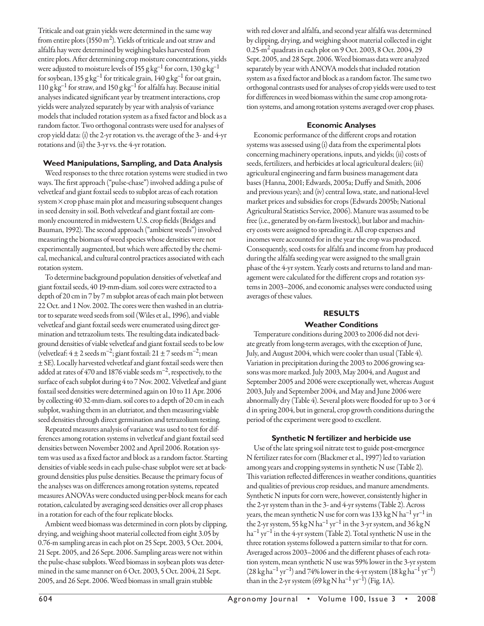Triticale and oat grain yields were determined in the same way from entire plots (1550  $m<sup>2</sup>$ ). Yields of triticale and oat straw and alfalfa hay were determined by weighing bales harvested from entire plots. After determining crop moisture concentrations, yields were adjusted to moisture levels of 155 g  $kg^{-1}$  for corn, 130 g  $kg^{-1}$ for soybean, 135 g kg<sup>-1</sup> for triticale grain, 140 g kg<sup>-1</sup> for oat grain,  $110$  g kg<sup>-1</sup> for straw, and  $150$  g kg<sup>-1</sup> for alfalfa hay. Because initial analyses indicated significant year by treatment interactions, crop yields were analyzed separately by year with analysis of variance models that included rotation system as a fixed factor and block as a random factor. Two orthogonal contrasts were used for analyses of crop yield data: (i) the 2-yr rotation vs. the average of the 3- and 4-yr rotations and (ii) the 3-yr vs. the 4-yr rotation.

### **Weed Manipulations, Sampling, and Data Analysis**

Weed responses to the three rotation systems were studied in two ways. The first approach ("pulse-chase") involved adding a pulse of velvetleaf and giant foxtail seeds to subplot areas of each rotation  $s$ ystem $\times$  crop phase main plot and measuring subsequent changes in seed density in soil. Both velvetleaf and giant foxtail are commonly encountered in midwestern U.S. crop fields (Bridges and Bauman, 1992). The second approach ("ambient weeds") involved measuring the biomass of weed species whose densities were not experimentally augmented, but which were affected by the chemical, mechanical, and cultural control practices associated with each rotation system.

To determine background population densities of velvetleaf and giant foxtail seeds, 40 19-mm-diam. soil cores were extracted to a depth of 20 cm in 7 by 7 m subplot areas of each main plot between 22 Oct. and 1 Nov. 2002. The cores were then washed in an elutriator to separate weed seeds from soil (Wiles et al., 1996), and viable velvetleaf and giant foxtail seeds were enumerated using direct germination and tetrazolium tests. The resulting data indicated background densities of viable velvetleaf and giant foxtail seeds to be low (velvetleaf:  $4 \pm 2$  seeds m<sup>-2</sup>; giant foxtail:  $21 \pm 7$  seeds m<sup>-2</sup>; mean ± SE). Locally harvested velvetleaf and giant foxtail seeds were then added at rates of 470 and 1876 viable seeds  $m^{-2}$ , respectively, to the surface of each subplot during 4 to 7 Nov. 2002. Velvetleaf and giant foxtail seed densities were determined again on 10 to 11 Apr. 2006 by collecting 40 32-mm-diam. soil cores to a depth of 20 cm in each subplot, washing them in an elutriator, and then measuring viable seed densities through direct germination and tetrazolium testing.

Repeated measures analysis of variance was used to test for differences among rotation systems in velvetleaf and giant foxtail seed densities between November 2002 and April 2006. Rotation system was used as a fixed factor and block as a random factor. Starting densities of viable seeds in each pulse-chase subplot were set at background densities plus pulse densities. Because the primary focus of the analyses was on differences among rotation systems, repeated measures ANOVAs were conducted using per-block means for each rotation, calculated by averaging seed densities over all crop phases in a rotation for each of the four replicate blocks.

Ambient weed biomass was determined in corn plots by clipping, drying, and weighing shoot material collected from eight 3.05 by 0.76-m sampling areas in each plot on 25 Sept. 2003, 5 Oct. 2004, 21 Sept. 2005, and 26 Sept. 2006. Sampling areas were not within the pulse-chase subplots. Weed biomass in soybean plots was determined in the same manner on 6 Oct. 2003, 5 Oct. 2004, 21 Sept. 2005, and 26 Sept. 2006. Weed biomass in small grain stubble

with red clover and alfalfa, and second year alfalfa was determined by clipping, drying, and weighing shoot material collected in eight 0.25 $\text{-m}^2$  quadrats in each plot on 9 Oct. 2003, 8 Oct. 2004, 29 Sept. 2005, and 28 Sept. 2006. Weed biomass data were analyzed separately by year with ANOVA models that included rotation system as a fixed factor and block as a random factor. The same two orthogonal contrasts used for analyses of crop yields were used to test for differences in weed biomass within the same crop among rotation systems, and among rotation systems averaged over crop phases.

# **Economic Analyses**

Economic performance of the different crops and rotation systems was assessed using (i) data from the experimental plots concerning machinery operations, inputs, and yields; (ii) costs of seeds, fertilizers, and herbicides at local agricultural dealers; (iii) agricultural engineering and farm business management data bases (Hanna, 2001; Edwards, 2005a; Duffy and Smith, 2006 and previous years); and (iv) central Iowa, state, and national-level market prices and subsidies for crops (Edwards 2005b; National Agricultural Statistics Service, 2006). Manure was assumed to be free (i.e., generated by on-farm livestock), but labor and machinery costs were assigned to spreading it. All crop expenses and incomes were accounted for in the year the crop was produced. Consequently, seed costs for alfalfa and income from hay produced during the alfalfa seeding year were assigned to the small grain phase of the 4-yr system. Yearly costs and returns to land and management were calculated for the different crops and rotation systems in 2003–2006, and economic analyses were conducted using averages of these values.

# **RESULTS**

### **Weather Conditions**

Temperature conditions during 2003 to 2006 did not deviate greatly from long-term averages, with the exception of June, July, and August 2004, which were cooler than usual (Table 4). Variation in precipitation during the 2003 to 2006 growing seasons was more marked. July 2003, May 2004, and August and September 2005 and 2006 were exceptionally wet, whereas August 2003, July and September 2004, and May and June 2006 were abnormally dry (Table 4). Several plots were flooded for up to 3 or 4 d in spring 2004, but in general, crop growth conditions during the period of the experiment were good to excellent.

# **Synthetic N fertilizer and herbicide use**

Use of the late spring soil nitrate test to guide post-emergence N fertilizer rates for corn (Blackmer et al., 1997) led to variation among years and cropping systems in synthetic N use (Table 2). This variation reflected differences in weather conditions, quantities and qualities of previous crop residues, and manure amendments. Synthetic N inputs for corn were, however, consistently higher in the 2-yr system than in the 3- and 4-yr systems (Table 2). Across years, the mean synthetic N use for corn was  $133 \text{ kg N} \text{ ha}^{-1} \text{ yr}^{-1}$  in the 2-yr system, 55 kg N ha<sup>-1</sup> yr<sup>-1</sup> in the 3-yr system, and 36 kg N  $ha^{-1}$  yr<sup>-1</sup> in the 4-yr system (Table 2). Total synthetic N use in the three rotation systems followed a pattern similar to that for corn. Averaged across 2003-2006 and the different phases of each rotation system, mean synthetic N use was 59% lower in the 3-yr system  $(28 \text{ kg ha}^{-1} \text{ yr}^{-1})$  and 74% lower in the 4-yr system  $(18 \text{ kg ha}^{-1} \text{ yr}^{-1})$ than in the 2-yr system (69 kg N ha<sup>-1</sup> yr<sup>-1</sup>) (Fig. 1A).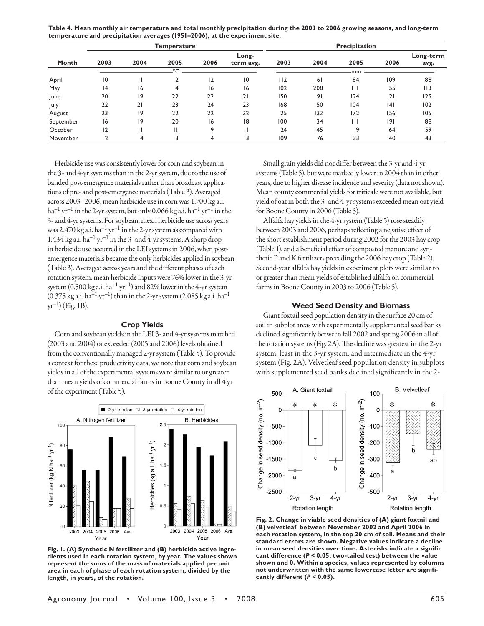| Table 4. Mean monthly air temperature and total monthly precipitation during the 2003 to 2006 growing seasons, and long-term |
|------------------------------------------------------------------------------------------------------------------------------|
| temperature and precipitation averages (1951–2006), at the experiment site.                                                  |

|           |      |      | <b>Temperature</b> |      | Precipitation      |      |      |              |      |                   |
|-----------|------|------|--------------------|------|--------------------|------|------|--------------|------|-------------------|
| Month     | 2003 | 2004 | 2005               | 2006 | Long-<br>term avg. | 2003 | 2004 | 2005         | 2006 | Long-term<br>avg. |
|           |      |      | $\sim$             |      |                    |      |      | mm           |      |                   |
| April     | 10   |      | 12                 | 12   | $\overline{0}$     | 112  | 61   | 84           | 109  | 88                |
| May       | 4    | 16   | 4                  | 16   | 16                 | 102  | 208  | $\mathbf{H}$ | 55   | 113               |
| June      | 20   | 19   | 22                 | 22   | 21                 | 150  | 91   | 124          | 21   | 125               |
| July      | 22   | 21   | 23                 | 24   | 23                 | 168  | 50   | 104          | 4    | 102               |
| August    | 23   | 19   | 22                 | 22   | 22                 | 25   | 132  | 172          | 156  | 105               |
| September | 16   | 19   | 20                 | 16   | 18                 | 100  | 34   | Ш            | 9    | 88                |
| October   | 12   | Н    | П                  | 9    |                    | 24   | 45   | q            | 64   | 59                |
| November  |      | 4    |                    | 4    |                    | 109  | 76   | 33           | 40   | 43                |

Herbicide use was consistently lower for corn and soybean in the 3- and 4-yr systems than in the 2-yr system, due to the use of banded post-emergence materials rather than broadcast applications of pre- and post-emergence materials (Table 3). Averaged across 2003–2006, mean herbicide use in corn was 1.700 kg a.i.  $ha^{-1} yr^{-1}$  in the 2-yr system, but only 0.066 kg a.i. ha<sup>-1</sup> yr<sup>-1</sup> in the 3- and 4-yr systems. For soybean, mean herbicide use across years was 2.470 kg a.i. ha<sup>-1</sup> yr<sup>-1</sup> in the 2-yr system as compared with 1.434 kg a.i.  $ha^{-1}$  yr<sup>-1</sup> in the 3- and 4-yr systems. A sharp drop in herbicide use occurred in the LEI systems in 2006, when postemergence materials became the only herbicides applied in soybean (Table 3). Averaged across years and the different phases of each rotation system, mean herbicide inputs were 76% lower in the 3-yr system  $(0.500 \text{ kg a.i. ha}^{-1} \text{ yr}^{-1})$  and 82% lower in the 4-yr system  $(0.375 \text{ kg a.i.} \text{ ha}^{-1} \text{ yr}^{-1})$  than in the 2-yr system  $(2.085 \text{ kg a.i.} \text{ ha}^{-1})$  $yr^{-1}$  (Fig. 1B).

#### **Crop Yields**

Corn and soybean yields in the LEI 3- and 4-yr systems matched (2003 and 2004) or exceeded (2005 and 2006) levels obtained from the conventionally managed 2-yr system (Table 5). To provide a context for these productivity data, we note that corn and soybean yields in all of the experimental systems were similar to or greater than mean yields of commercial farms in Boone County in all 4 yr of the experiment (Table 5).



**Fig. 1. (A) Synthetic N fertilizer and (B) herbicide active ingredients used in each rotation system, by year. The values shown represent the sums of the mass of materials applied per unit area in each of phase of each rotation system, divided by the length, in years, of the rotation.**

Small grain yields did not differ between the 3-yr and 4-yr systems (Table 5), but were markedly lower in 2004 than in other years, due to higher disease incidence and severity (data not shown). Mean county commercial yields for triticale were not available, but yield of oat in both the 3- and 4-yr systems exceeded mean oat yield for Boone County in 2006 (Table 5).

Alfalfa hay yields in the 4-yr system (Table 5) rose steadily between 2003 and 2006, perhaps reflecting a negative effect of the short establishment period during 2002 for the 2003 hay crop (Table 1), and a beneficial effect of composted manure and synthetic P and K fertilizers preceding the 2006 hay crop (Table 2). Second-year alfalfa hay yields in experiment plots were similar to or greater than mean yields of established alfalfa on commercial farms in Boone County in 2003 to 2006 (Table 5).

#### **Weed Seed Density and Biomass**

Giant foxtail seed population density in the surface 20 cm of soil in subplot areas with experimentally supplemented seed banks declined significantly between fall 2002 and spring 2006 in all of the rotation systems (Fig. 2A). The decline was greatest in the 2-yr system, least in the 3-yr system, and intermediate in the 4-yr system (Fig. 2A). Velvetleaf seed population density in subplots with supplemented seed banks declined significantly in the 2-



**Fig. 2. Change in viable seed densities of (A) giant foxtail and (B) velvetleaf between November 2002 and April 2006 in each rotation system, in the top 20 cm of soil. Means and their standard errors are shown. Negative values indicate a decline in mean seed densities over time. Asterisks indicate a significant difference (***P* **< 0.05, two-tailed test) between the value shown and 0. Within a species, values represented by columns not underwritten with the same lowercase letter are significantly different (***P* **< 0.05).**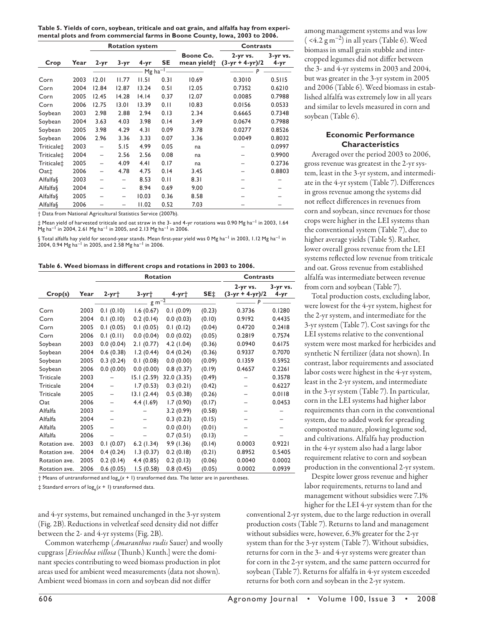**Table 5. Yields of corn, soybean, triticale and oat grain, and alfalfa hay from experimental plots and from commercial farms in Boone County, Iowa, 2003 to 2006.**

|                        |      | <b>Rotation system</b> |              |       | <b>Contrasts</b>        |                                      |                                       |                      |
|------------------------|------|------------------------|--------------|-------|-------------------------|--------------------------------------|---------------------------------------|----------------------|
| Crop                   | Year | $2-yr$                 | $3 - yr$     | 4-yr  | SE                      | Boone Co.<br>mean yield <sup>+</sup> | $2 - yr$ vs.<br>$(3 - yr + 4 - yr)/2$ | 3-yr vs.<br>$4 - yr$ |
|                        |      |                        |              |       | $Mg$ ha <sup>-1</sup> - |                                      | P                                     |                      |
| Corn                   | 2003 | 12.01                  | <b>II.77</b> | 11.51 | 0.31                    | 10.69                                | 0.3010                                | 0.5115               |
| Corn                   | 2004 | 12.84                  | 12.87        | 13.24 | 0.51                    | 12.05                                | 0.7352                                | 0.6210               |
| Corn                   | 2005 | 12.45                  | 14.28        | 14.14 | 0.37                    | 12.07                                | 0.0085                                | 0.7988               |
| Corn                   | 2006 | 12.75                  | 13.01        | 13.39 | 0.11                    | 10.83                                | 0.0156                                | 0.0533               |
| Soybean                | 2003 | 2.98                   | 2.88         | 2.94  | 0.13                    | 2.34                                 | 0.6665                                | 0.7348               |
| Soybean                | 2004 | 3.63                   | 4.03         | 3.98  | 0.14                    | 3.49                                 | 0.0674                                | 0.7988               |
| Soybean                | 2005 | 3.98                   | 4.29         | 4.31  | 0.09                    | 3.78                                 | 0.0277                                | 0.8526               |
| Soybean                | 2006 | 2.96                   | 3.36         | 3.33  | 0.07                    | 3.36                                 | 0.0049                                | 0.8032               |
| Triticale <sup>+</sup> | 2003 |                        | 5.15         | 4.99  | 0.05                    | na                                   |                                       | 0.0997               |
| Triticale <sup>+</sup> | 2004 |                        | 2.56         | 2.56  | 0.08                    | na                                   |                                       | 0.9900               |
| Triticale <sup>+</sup> | 2005 |                        | 4.09         | 4.41  | 0.17                    | na                                   |                                       | 0.2736               |
| Out <sub>†</sub>       | 2006 |                        | 4.78         | 4.75  | 0.14                    | 3.45                                 |                                       | 0.8803               |
| <b>Alfalfa</b>         | 2003 |                        |              | 8.53  | 0.11                    | 8.31                                 |                                       |                      |
| Alfalfa§               | 2004 |                        | -            | 8.94  | 0.69                    | 9.00                                 |                                       |                      |
| Alfalfa§               | 2005 |                        | -            | 10.03 | 0.36                    | 8.58                                 |                                       |                      |
| Alfalfa§               | 2006 |                        |              | 11.02 | 0.52                    | 7.03                                 |                                       |                      |

† Data from National Agricultural Statistics Service (2007b).

‡ Mean yield of harvested triticale and oat straw in the 3- and 4-yr rotations was 0.90 Mg ha–1 in 2003, 1.64  $Mg$  ha<sup>-1</sup> in 2004, 2.61 Mg ha<sup>-1</sup> in 2005, and 2.13 Mg ha<sup>-1</sup> in 2006.

 $\S$  Total alfalfa hay yield for second-year stands. Mean first-year yield was 0 Mg ha $^{-1}$  in 2003, 1.12 Mg ha $^{-1}$  in  $2004$ , 0.94 Mg ha $^{-1}$  in 2005, and 2.58 Mg ha $^{-1}$  in 2006.

|  |  |  |  |  |  |  | Table 6. Weed biomass in different crops and rotations in 2003 to 2006. |  |  |  |  |  |
|--|--|--|--|--|--|--|-------------------------------------------------------------------------|--|--|--|--|--|
|--|--|--|--|--|--|--|-------------------------------------------------------------------------|--|--|--|--|--|

|                  |      |                          | Rotation              | <b>Contrasts</b> |        |                             |                      |
|------------------|------|--------------------------|-----------------------|------------------|--------|-----------------------------|----------------------|
| Crop(s)          | Year | $2-yr$ †                 | $3-yr$ †              | $4-yr$           | SE‡    | 2-yr vs.<br>(3-yr + 4-yr)/2 | $3 - yr$ vs.<br>4-yr |
|                  |      |                          | $-$ g m <sup>-2</sup> |                  |        | P                           |                      |
| Corn             | 2003 | 0.1(0.10)                | 1.6(0.67)             | 0.1(0.09)        | (0.23) | 0.3736                      | 0.1280               |
| Corn             | 2004 | 0.1(0.10)                | 0.2(0.14)             | 0.0(0.03)        | (0.10) | 0.9192                      | 0.4435               |
| Corn             | 2005 | 0.1(0.05)                | 0.1(0.05)             | 0.1(0.12)        | (0.04) | 0.4720                      | 0.2418               |
| Corn             | 2006 | 0.1(0.11)                | 0.0(0.04)             | 0.0(0.02)        | (0.05) | 0.2819                      | 0.7574               |
| Soybean          | 2003 | 0.0(0.04)                | 2.1(0.77)             | 4.2(1.04)        | (0.36) | 0.0940                      | 0.6175               |
| Soybean          | 2004 | 0.6(0.38)                | 1.2(0.44)             | 0.4(0.24)        | (0.36) | 0.9337                      | 0.7070               |
| Soybean          | 2005 | 0.3(0.24)                | 0.1(0.08)             | 0.0(0.00)        | (0.09) | 0.1359                      | 0.5952               |
| Soybean          | 2006 | 0.0(0.00)                | 0.0(0.00)             | 0.8(0.37)        | (0.19) | 0.4657                      | 0.2261               |
| <b>Triticale</b> | 2003 |                          | 15.1(2.59)            | 32.0 (3.35)      | (0.49) |                             | 0.3578               |
| Triticale        | 2004 | $\overline{\phantom{m}}$ | 1.7(0.53)             | 0.3(0.21)        | (0.42) |                             | 0.6227               |
| <b>Triticale</b> | 2005 | $\overline{\phantom{m}}$ | 13.1(2.44)            | 0.5(0.38)        | (0.26) |                             | 0.0118               |
| Oat              | 2006 | -                        | 4.4(1.69)             | 1.7(0.90)        | (0.17) |                             | 0.0453               |
| Alfalfa          | 2003 | -                        |                       | 3.2(0.99)        | (0.58) |                             |                      |
| Alfalfa          | 2004 |                          |                       | 0.3(0.23)        | (0.15) |                             |                      |
| Alfalfa          | 2005 |                          |                       | 0.0(0.01)        | (0.01) |                             |                      |
| Alfalfa          | 2006 |                          |                       | 0.7(0.51)        | (0.13) |                             |                      |
| Rotation ave.    | 2003 | 0.1(0.07)                | $6.2$ (1.34)          | 9.9(1.36)        | (0.14) | 0.0003                      | 0.9221               |
| Rotation ave.    | 2004 | 0.4(0.24)                | 1.3(0.37)             | 0.2(0.18)        | (0.21) | 0.8952                      | 0.5405               |
| Rotation ave.    | 2005 | 0.2(0.14)                | 4.4(0.85)             | 0.2(0.13)        | (0.06) | 0.0040                      | 0.0002               |
| Rotation ave.    | 2006 | 0.6(0.05)                | 1.5(0.58)             | 0.8(0.45)        | (0.05) | 0.0002                      | 0.0939               |

 $\dagger$  Means of untransformed and  $\log_e(x + 1)$  transformed data. The latter are in parentheses.

 $\ddagger$  Standard errors of  $log_e(x + 1)$  transformed data.

and 4-yr systems, but remained unchanged in the 3-yr system (Fig. 2B). Reductions in velvetleaf seed density did not differ between the 2- and 4-yr systems (Fig. 2B).

Common waterhemp (*Amaranthus rudis* Sauer) and woolly cupgrass [*Eriochloa villosa* (Thunb.) Kunth.] were the dominant species contributing to weed biomass production in plot areas used for ambient weed measurements (data not shown). Ambient weed biomass in corn and soybean did not differ

among management systems and was low  $( $4.2 \text{ g m}^{-2}$ )$  in all years (Table 6). Weed biomass in small grain stubble and intercropped legumes did not differ between the 3- and 4-yr systems in 2003 and 2004, but was greater in the 3-yr system in 2005 and 2006 (Table 6). Weed biomass in established alfalfa was extremely low in all years and similar to levels measured in corn and soybean (Table 6).

### **Economic Performance Characteristics**

Averaged over the period 2003 to 2006, gross revenue was greatest in the 2-yr system, least in the 3-yr system, and intermediate in the 4-yr system (Table 7). Differences in gross revenue among the systems did not reflect differences in revenues from corn and soybean, since revenues for those crops were higher in the LEI systems than the conventional system (Table 7), due to higher average yields (Table 5). Rather, lower overall gross revenue from the LEI systems reflected low revenue from triticale and oat. Gross revenue from established alfalfa was intermediate between revenue from corn and soybean (Table 7).

Total production costs, excluding labor, were lowest for the 4-yr system, highest for the 2-yr system, and intermediate for the 3-yr system (Table 7). Cost savings for the LEI systems relative to the conventional system were most marked for herbicides and synthetic N fertilizer (data not shown). In contrast, labor requirements and associated labor costs were highest in the 4-yr system, least in the 2-yr system, and intermediate in the 3-yr system (Table 7). In particular, corn in the LEI systems had higher labor requirements than corn in the conventional system, due to added work for spreading composted manure, plowing legume sod, and cultivations. Alfalfa hay production in the 4-yr system also had a large labor requirement relative to corn and soybean production in the conventional 2-yr system.

Despite lower gross revenue and higher labor requirements, returns to land and management without subsidies were 7.1% higher for the LEI 4-yr system than for the

conventional 2-yr system, due to the large reduction in overall production costs (Table 7). Returns to land and management without subsidies were, however, 6.3% greater for the 2-yr system than for the 3-yr system (Table 7). Without subsidies, returns for corn in the 3- and 4-yr systems were greater than for corn in the 2-yr system, and the same pattern occurred for soybean (Table 7). Returns for alfalfa in 4-yr system exceeded returns for both corn and soybean in the 2-yr system.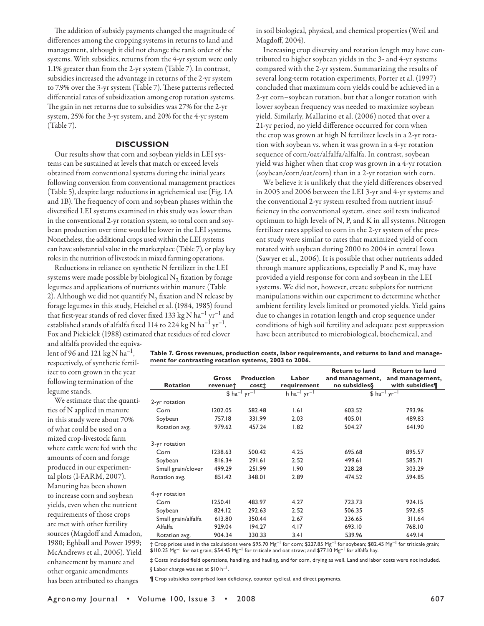The addition of subsidy payments changed the magnitude of differences among the cropping systems in returns to land and management, although it did not change the rank order of the systems. With subsidies, returns from the 4-yr system were only 1.1% greater than from the 2-yr system (Table 7). In contrast, subsidies increased the advantage in returns of the 2-yr system to 7.9% over the 3-yr system (Table 7). These patterns reflected differential rates of subsidization among crop rotation systems. The gain in net returns due to subsidies was 27% for the 2-yr system, 25% for the 3-yr system, and 20% for the 4-yr system (Table 7).

#### **DISCUSSION**

Our results show that corn and soybean yields in LEI systems can be sustained at levels that match or exceed levels obtained from conventional systems during the initial years following conversion from conventional management practices (Table 5), despite large reductions in agrichemical use (Fig. 1A and 1B). The frequency of corn and soybean phases within the diversified LEI systems examined in this study was lower than in the conventional 2-yr rotation system, so total corn and soybean production over time would be lower in the LEI systems. Nonetheless, the additional crops used within the LEI systems can have substantial value in the marketplace (Table 7), or play key roles in the nutrition of livestock in mixed farming operations.

Reductions in reliance on synthetic N fertilizer in the LEI systems were made possible by biological  $N<sub>2</sub>$  fixation by forage legumes and applications of nutrients within manure (Table 2). Although we did not quantify  $N_2$  fixation and N release by forage legumes in this study, Heichel et al. (1984, 1985) found that first-year stands of red clover fixed 133 kg N ha<sup>-1</sup> yr<sup>-1</sup> and established stands of alfalfa fixed 114 to 224 kg N ha<sup>-1</sup> yr<sup>-1</sup>. Fox and Piekielek (1988) estimated that residues of red clover

in soil biological, physical, and chemical properties (Weil and Magdoff, 2004).

Increasing crop diversity and rotation length may have contributed to higher soybean yields in the 3- and 4-yr systems compared with the 2-yr system. Summarizing the results of several long-term rotation experiments, Porter et al. (1997) concluded that maximum corn yields could be achieved in a 2-yr corn–soybean rotation, but that a longer rotation with lower soybean frequency was needed to maximize soybean yield. Similarly, Mallarino et al. (2006) noted that over a 21-yr period, no yield difference occurred for corn when the crop was grown at high N fertilizer levels in a 2-yr rotation with soybean vs. when it was grown in a 4-yr rotation sequence of corn/oat/alfalfa/alfalfa. In contrast, soybean yield was higher when that crop was grown in a 4-yr rotation (soybean/corn/oat/corn) than in a 2-yr rotation with corn.

We believe it is unlikely that the yield differences observed in 2005 and 2006 between the LEI 3-yr and 4-yr systems and the conventional 2-yr system resulted from nutrient insufficiency in the conventional system, since soil tests indicated optimum to high levels of N, P, and K in all systems. Nitrogen fertilizer rates applied to corn in the 2-yr system of the present study were similar to rates that maximized yield of corn rotated with soybean during 2000 to 2004 in central Iowa (Sawyer et al., 2006). It is possible that other nutrients added through manure applications, especially P and K, may have provided a yield response for corn and soybean in the LEI systems. We did not, however, create subplots for nutrient manipulations within our experiment to determine whether ambient fertility levels limited or promoted yields. Yield gains due to changes in rotation length and crop sequence under conditions of high soil fertility and adequate pest suppression have been attributed to microbiological, biochemical, and

and alfalfa provided the equivalent of 96 and 121 kg N ha<sup>-1</sup>, respectively, of synthetic fertilizer to corn grown in the year following termination of the legume stands.

We estimate that the quantities of N applied in manure in this study were about 70% of what could be used on a mixed crop-livestock farm where cattle were fed with the amounts of corn and forage produced in our experimental plots (I-FARM, 2007). Manuring has been shown to increase corn and soybean yields, even when the nutrient requirements of those crops are met with other fertility sources (Magdoff and Amadon, 1980; Eghball and Power 1999; McAndrews et al., 2006). Yield enhancement by manure and other organic amendments has been attributed to changes

**Table 7. Gross revenues, production costs, labor requirements, and returns to land and management for contrasting rotation systems, 2003 to 2006.**

| <b>Rotation</b>     | Gross<br>revenue† | <b>Production</b><br>cost‡ | Labor<br>requirement | <b>Return to land</b><br>no subsidies§ | <b>Return to land</b><br>and management, and management,<br>with subsidies¶ |
|---------------------|-------------------|----------------------------|----------------------|----------------------------------------|-----------------------------------------------------------------------------|
|                     |                   |                            | $h h a^{-1} yr^{-1}$ |                                        |                                                                             |
| 2-yr rotation       |                   |                            |                      |                                        |                                                                             |
| Corn                | 1202.05           | 582.48                     | 1.61                 | 603.52                                 | 793.96                                                                      |
| Soybean             | 757.18            | 331.99                     | 2.03                 | 405.01                                 | 489.83                                                                      |
| Rotation avg.       | 979.62            | 457.24                     | 1.82                 | 504.27                                 | 641.90                                                                      |
| 3-yr rotation       |                   |                            |                      |                                        |                                                                             |
| Corn                | 1238.63           | 500.42                     | 4.25                 | 695.68                                 | 895.57                                                                      |
| Soybean             | 816.34            | 291.61                     | 2.52                 | 499.61                                 | 585.71                                                                      |
| Small grain/clover  | 499.29            | 251.99                     | 1.90                 | 228.28                                 | 303.29                                                                      |
| Rotation avg.       | 851.42            | 348.01                     | 2.89                 | 474.52                                 | 594.85                                                                      |
| 4-yr rotation       |                   |                            |                      |                                        |                                                                             |
| Corn                | 1250.41           | 483.97                     | 4.27                 | 723.73                                 | 924.15                                                                      |
| Soybean             | 824.12            | 292.63                     | 2.52                 | 506.35                                 | 592.65                                                                      |
| Small grain/alfalfa | 613.80            | 350.44                     | 2.67                 | 236.65                                 | 311.64                                                                      |
| Alfalfa             | 929.04            | 194.27                     | 4.17                 | 693.10                                 | 768.10                                                                      |
| Rotation avg.       | 904.34            | 330.33                     | 3.41                 | 539.96                                 | 649.14                                                                      |
|                     |                   |                            |                      |                                        |                                                                             |

† Crop prices used in the calculations were \$95.70 Mg–1 for corn; \$227.85 Mg–1 for soybean; \$82.45 Mg–1 for triticale grain;  $$110.25$  Mg<sup>-1</sup> for oat grain; \$54.45 Mg<sup>-1</sup> for triticale and oat straw; and \$77.10 Mg<sup>-1</sup> for alfalfa hay.

‡ Costs included fi eld operations, handling, and hauling, and for corn, drying as well. Land and labor costs were not included. § Labor charge was set at \$10 h<sup>-1</sup>.

¶ Crop subsidies comprised loan defi ciency, counter cyclical, and direct payments.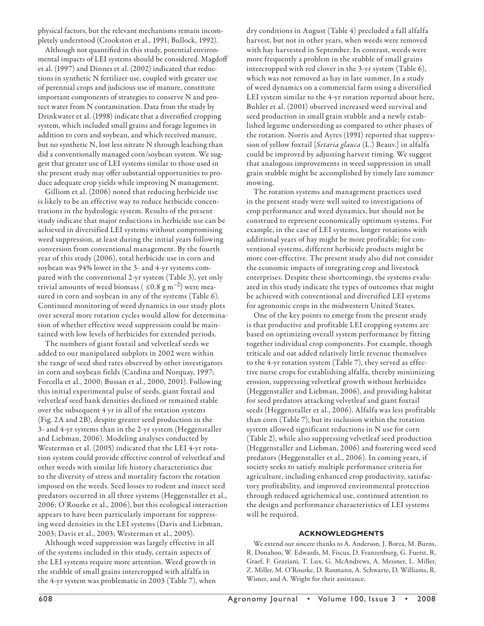physical factors, but the relevant mechanisms remain incompletely understood (Crookston et al., 1991; Bullock, 1992).

Although not quantified in this study, potential environmental impacts of LEI systems should be considered. Magdoff et al. (1997) and Dinnes et al. (2002) indicated that reductions in synthetic N fertilizer use, coupled with greater use of perennial crops and judicious use of manure, constitute important components of strategies to conserve N and protect water from N contamination. Data from the study by Drinkwater et al. (1998) indicate that a diversified cropping system, which included small grains and forage legumes in addition to corn and soybean, and which received manure, but no synthetic N, lost less nitrate N through leaching than did a conventionally managed corn/soybean system. We suggest that greater use of LEI systems similar to those used in the present study may offer substantial opportunities to produce adequate crop yields while improving N management.

Gilliom et al. (2006) noted that reducing herbicide use is likely to be an effective way to reduce herbicide concentrations in the hydrologic system. Results of the present study indicate that major reductions in herbicide use can be achieved in diversified LEI systems without compromising weed suppression, at least during the initial years following conversion from conventional management. By the fourth year of this study (2006), total herbicide use in corn and soybean was 94% lower in the 3- and 4-yr systems compared with the conventional 2-yr system (Table 3), yet only trivial amounts of weed biomass (  $\leq 0.8$  g m<sup>-2</sup>) were measured in corn and soybean in any of the systems (Table 6). Continued monitoring of weed dynamics in our study plots over several more rotation cycles would allow for determination of whether effective weed suppression could be maintained with low levels of herbicides for extended periods.

The numbers of giant foxtail and velvetleaf seeds we added to our manipulated subplots in 2002 were within the range of seed shed rates observed by other investigators in corn and soybean fields (Cardina and Norquay, 1997; Forcella et al., 2000; Bussan et al., 2000, 2001). Following this initial experimental pulse of seeds, giant foxtail and velvetleaf seed bank densities declined or remained stable over the subsequent 4 yr in all of the rotation systems (Fig. 2A and 2B), despite greater seed production in the 3- and 4-yr systems than in the 2-yr system (Heggenstaller and Liebman, 2006). Modeling analyses conducted by Westerman et al. (2005) indicated that the LEI 4-yr rotation system could provide effective control of velvetleaf and other weeds with similar life history characteristics due to the diversity of stress and mortality factors the rotation imposed on the weeds. Seed losses to rodent and insect seed predators occurred in all three systems (Heggenstaller et al., 2006; O'Rourke et al., 2006), but this ecological interaction appears to have been particularly important for suppressing weed densities in the LEI systems (Davis and Liebman, 2003; Davis et al., 2003; Westerman et al., 2005).

Although weed suppression was largely effective in all of the systems included in this study, certain aspects of the LEI systems require more attention. Weed growth in the stubble of small grains intercropped with alfalfa in the 4-yr system was problematic in 2003 (Table 7), when

dry conditions in August (Table 4) precluded a fall alfalfa harvest, but not in other years, when weeds were removed with hay harvested in September. In contrast, weeds were more frequently a problem in the stubble of small grains intercropped with red clover in the 3-yr system (Table 6), which was not removed as hay in late summer. In a study of weed dynamics on a commercial farm using a diversified LEI system similar to the 4-yr rotation reported about here, Buhler et al. (2001) observed increased weed survival and seed production in small grain stubble and a newly established legume underseeding as compared to other phases of the rotation. Norris and Ayres (1991) reported that suppression of yellow foxtail [*Setaria glauca* (L.) Beauv.] in alfalfa could be improved by adjusting harvest timing. We suggest that analogous improvements in weed suppression in small grain stubble might be accomplished by timely late summer mowing.

The rotation systems and management practices used in the present study were well suited to investigations of crop performance and weed dynamics, but should not be construed to represent economically optimum systems. For example, in the case of LEI systems, longer rotations with additional years of hay might be more profitable; for conventional systems, different herbicide products might be more cost-effective. The present study also did not consider the economic impacts of integrating crop and livestock enterprises. Despite these shortcomings, the systems evaluated in this study indicate the types of outcomes that might be achieved with conventional and diversified LEI systems for agronomic crops in the midwestern United States.

One of the key points to emerge from the present study is that productive and profitable LEI cropping systems are based on optimizing overall system performance by fitting together individual crop components. For example, though triticale and oat added relatively little revenue themselves to the 4-yr rotation system (Table 7), they served as effective nurse crops for establishing alfalfa, thereby minimizing erosion, suppressing velvetleaf growth without herbicides (Heggenstaller and Liebman, 2006), and providing habitat for seed predators attacking velvetleaf and giant foxtail seeds (Heggenstaller et al., 2006). Alfalfa was less profitable than corn (Table 7), but its inclusion within the rotation system allowed significant reductions in N use for corn (Table 2), while also suppressing velvetleaf seed production (Heggenstaller and Liebman, 2006) and fostering weed seed predators (Heggenstaller et al., 2006). In coming years, if society seeks to satisfy multiple performance criteria for agriculture, including enhanced crop productivity, satisfactory profitability, and improved environmental protection through reduced agrichemical use, continued attention to the design and performance characteristics of LEI systems will be required.

#### **ACKNOWLEDGMENTS**

We extend our sincere thanks to A. Anderson, J. Borza, M. Burns, R. Donahoo, W. Edwards, M. Fiscus, D. Franzenburg, G. Fuerst, R. Graef, F. Graziani, T. Lux, G. McAndrews, A. Messner, L. Miller, Z. Miller, M. O'Rourke, D. Rosmann, A. Schwarte, D. Williams, R. Wisner, and A. Wright for their assistance.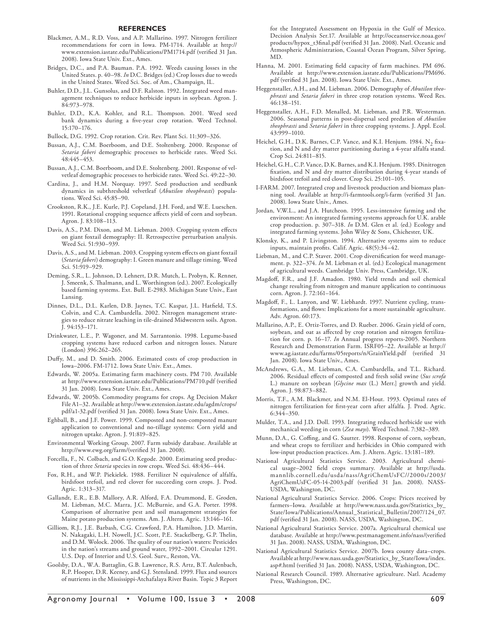#### **REFERENCES**

- Blackmer, A.M., R.D. Voss, and A.P. Mallarino. 1997. Nitrogen fertilizer recommendations for corn in Iowa. PM-1714. Available at http:// www.extension.iastate.edu/Publications/PM1714.pdf (verified 31 Jan. 2008). Iowa State Univ. Ext., Ames.
- Bridges, D.C., and P.A. Bauman. P.A. 1992. Weeds causing losses in the United States. p. 40–98. *In* D.C. Bridges (ed.) Crop losses due to weeds in the United States. Weed Sci. Soc. of Am., Champaign, IL.
- Buhler, D.D., J.L. Gunsolus, and D.F. Ralston. 1992. Integrated weed management techniques to reduce herbicide inputs in soybean. Agron. J. 84:973–978.
- Buhler, D.D., K.A. Kohler, and R.L. Thompson. 2001. Weed seed bank dynamics during a five-year crop rotation. Weed Technol. 15:170–176.
- Bullock, D.G. 1992. Crop rotation. Crit. Rev. Plant Sci. 11:309–326.
- Bussan, A.J., C.M. Boerboom, and D.E. Stoltenberg. 2000. Response of *Setaria faberi* demographic processes to herbicide rates. Weed Sci. 48:445–453.
- Bussan, A.J., C.M. Boerboom, and D.E. Stoltenberg. 2001. Response of velvetleaf demographic processes to herbicide rates. Weed Sci. 49:22–30.
- Cardina, J., and H.M. Norquay. 1997. Seed production and seedbank dynamics in subthreshold velvetleaf (*Abutilon theophrasti*) populations. Weed Sci. 45:85–90.
- Crookston, R.K., J.E. Kurle, P.J. Copeland, J.H. Ford, and W.E. Lueschen. 1991. Rotational cropping sequence affects yield of corn and soybean. Agron. J. 83:108–113.
- Davis, A.S., P.M. Dixon, and M. Liebman. 2003. Cropping system effects on giant foxtail demography: II. Retrospective perturbation analysis. Weed Sci. 51:930–939.
- Davis, A.S., and M. Liebman. 2003. Cropping system effects on giant foxtail (*Setaria faberi*) demography: I. Green manure and tillage timing. Weed Sci. 51:919–929.
- Deming, S.R., L. Johnson, D. Lehnert, D.R. Mutch, L. Probyn, K. Renner, J. Smeenk, S. Thalmann, and L. Worthington (ed.). 2007. Ecologically based farming systems. Ext. Bull. E-2983. Michigan State Univ., East Lansing.
- Dinnes, D.L., D.L. Karlen, D.B. Jaynes, T.C. Kaspar, J.L. Hatfield, T.S. Colvin, and C.A. Cambardella. 2002. Nitrogen management strategies to reduce nitrate leaching in tile-drained Midwestern soils. Agron. J. 94:153–171.
- Drinkwater, L.E., P. Wagoner, and M. Sarrantonio. 1998. Legume-based cropping systems have reduced carbon and nitrogen losses. Nature (London) 396:262–265.
- Duffy, M., and D. Smith. 2006. Estimated costs of crop production in Iowa–2006. FM-1712. Iowa State Univ. Ext., Ames.
- Edwards, W. 2005a. Estimating farm machinery costs. PM 710. Available at http://www.extension.iastate.edu/Publications/PM710.pdf (verified 31 Jan. 2008). Iowa State Univ. Ext., Ames.
- Edwards, W. 2005b. Commodity programs for crops. Ag Decision Maker File A1–32. Available at http://www.extension.iastate.edu/agdm/crops/ pdf/a1-32.pdf (verified 31 Jan. 2008). Iowa State Univ. Ext., Ames.
- Eghball, B., and J.F. Power. 1999. Composted and non-composted manure application to conventional and no-tillage systems: Corn yield and nitrogen uptake. Agron. J. 91:819–825.
- Environmental Working Group. 2007. Farm subsidy database. Available at http://www.ewg.org/farm/(verified 31 Jan. 2008).
- Forcella, F., N. Colbach, and G.O. Kegode. 2000. Estimating seed production of three *Setaria* species in row crops. Weed Sci. 48:436–444.
- Fox, R.H., and W.P. Piekielek. 1988. Fertilizer N equivalence of alfalfa, birdsfoot trefoil, and red clover for succeeding corn crops. J. Prod. Agric. 1:313–317.
- Gallandt, E.R., E.B. Mallory, A.R. Alford, F.A. Drummond, E. Groden, M. Liebman, M.C. Marra, J.C. McBurnie, and G.A. Porter. 1998. Comparison of alternative pest and soil management strategies for Maine potato production systems. Am. J. Altern. Agric. 13:146–161.
- Gilliom, R.J., J.E. Barbash, C.G. Crawford, P.A. Hamilton, J.D. Martin, N. Nakagaki, L.H. Nowell, J.C. Scott, P.E. Stackelberg, G.P. Thelin, and D.M. Wolock. 2006. The quality of our nation's waters: Pesticides in the nation's streams and ground water, 1992–2001. Circular 1291. U.S. Dep. of Interior and U.S. Geol. Surv., Reston, VA.
- Goolsby, D.A., W.A. Battaglin, G.B. Lawrence, R.S. Artz, B.T. Aulenbach, R.P. Hooper, D.R. Keeney, and G.J. Stensland. 1999. Flux and sources of nutrients in the Mississippi-Atchafalaya River Basin. Topic 3 Report

for the Integrated Assessment on Hypoxia in the Gulf of Mexico. Decision Analysis Ser.17. Available at http://oceanservice.noaa.gov/ products/hypox\_t3final.pdf (verified 31 Jan. 2008). Natl. Oceanic and Atmospheric Administration, Coastal Ocean Program, Silver Spring, MD.

- Hanna, M. 2001. Estimating field capacity of farm machines. PM 696. Available at http://www.extension.iastate.edu/Publications/PM696. pdf (verified 31 Jan. 2008). Iowa State Univ. Ext., Ames.
- Heggenstaller, A.H., and M. Liebman. 2006. Demography of *Abutilon theophrasti* and *Setaria faberi* in three crop rotation systems. Weed Res. 46:138–151.
- Heggenstaller, A.H., F.D. Menalled, M. Liebman, and P.R. Westerman. 2006. Seasonal patterns in post-dispersal seed predation of *Abutilon theophrasti* and *Setaria faberi* in three cropping systems. J. Appl. Ecol. 43:999–1010.
- Heichel, G.H., D.K. Barnes, C.P. Vance, and K.I. Henjum. 1984. N<sub>2</sub> fixation, and N and dry matter partitioning during a 4-year alfalfa stand. Crop Sci. 24:811–815.
- Heichel, G.H., C.P. Vance, D.K. Barnes, and K.I. Henjum. 1985. Dinitrogen fixation, and N and dry matter distribution during 4-year stands of birdsfoot trefoil and red clover. Crop Sci. 25:101–105.
- I-FARM. 2007. Integrated crop and livestock production and biomass planning tool. Available at http://i-farmtools.org/i-farm (verified 31 Jan. 2008). Iowa State Univ., Ames.
- Jordan, V.W.L., and J.A. Hutcheon. 1995. Less-intensive farming and the environment: An integrated farming systems approach for U.K. arable crop production. p. 307–318. *In* D.M. Glen et al. (ed.) Ecology and integrated farming systems. John Wiley & Sons, Chichester, UK.
- Klonsky, K., and P. Livingston. 1994. Alternative systems aim to reduce inputs, maintain profits. Calif. Agric. 48(5):34-42.
- Liebman, M., and C.P. Staver. 2001. Crop diversification for weed management. p. 322–374. *In* M. Liebman et al. (ed.) Ecological management of agricultural weeds. Cambridge Univ. Press, Cambridge, UK.
- Magdoff, F.R., and J.F. Amadon. 1980. Yield trends and soil chemical change resulting from nitrogen and manure application to continuous corn. Agron. J. 72:161–164.
- Magdoff, F., L. Lanyon, and W. Liebhardt. 1997. Nutrient cycling, transformations, and flows: Implications for a more sustainable agriculture. Adv. Agron. 60:173.
- Mallarino, A.P., E. Ortiz-Torres, and D. Rueber. 2006. Grain yield of corn, soybean, and oat as affected by crop rotation and nitrogen fertilization for corn. p. 16–17. *In* Annual progress reports-2005. Northern Research and Demonstration Farm. ISRF05–22. Available at http:// www.ag.iastate.edu/farms/05reports/n/GrainYield.pdf (verified 31 Jan. 2008). Iowa State Univ., Ames.
- McAndrews, G.A., M. Liebman, C.A. Cambardella, and T.L. Richard. 2006. Residual effects of composted and fresh solid swine (Sus scrofa L.) manure on soybean [*Glycine max* (L.) Merr.] growth and yield. Agron. J. 98:873–882.
- Morris, T.F., A.M. Blackmer, and N.M. El-Hout. 1993. Optimal rates of nitrogen fertilization for first-year corn after alfalfa. J. Prod. Agric. 6:344–350.
- Mulder, T.A., and J.D. Doll. 1993. Integrating reduced herbicide use with mechanical weeding in corn (*Zea mays*). Weed Technol. 7:382–389.
- Munn, D.A., G. Coffing, and G. Sautter. 1998. Response of corn, soybean, and wheat crops to fertilizer and herbicides in Ohio compared with low-input production practices. Am. J. Altern. Agric. 13:181–189.
- National Agricultural Statistics Service. 2003. Agricultural chemical usage-2002 field crops summary. Available at http://usda. mannlib.cornell.edu/usda/nass/AgriChemUsFC//2000s/2003/ AgriChemUsFC-05-14-2003.pdf (verified 31 Jan. 2008). NASS-USDA, Washington, DC.
- National Agricultural Statistics Service. 2006. Crops: Prices received by farmers–Iowa. Available at http://www.nass.usda.gov/Statistics\_by\_ State/Iowa/Publications/Annual\_Statistical\_Bulletin/2007/124\_07. pdf (verified 31 Jan. 2008). NASS, USDA, Washington, DC.
- National Agricultural Statistics Service. 2007a. Agricultural chemical use database. Available at http://www.pestmanagement.info/nass/(verified 31 Jan. 2008). NASS, USDA, Washington, DC.
- National Agricultural Statistics Service. 2007b. Iowa county data–crops. Available at http://www.nass.usda.gov/Statistics\_by\_State/Iowa/index. asp#.html (verified 31 Jan. 2008). NASS, USDA, Washington, DC.
- National Research Council. 1989. Alternative agriculture. Natl. Academy Press, Washington, DC.